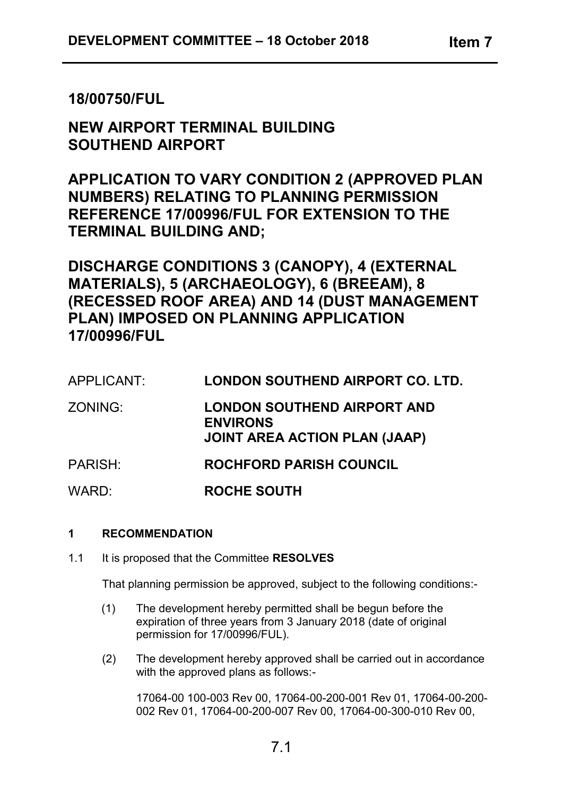# **18/00750/FUL**

# **NEW AIRPORT TERMINAL BUILDING SOUTHEND AIRPORT**

**APPLICATION TO VARY CONDITION 2 (APPROVED PLAN NUMBERS) RELATING TO PLANNING PERMISSION REFERENCE 17/00996/FUL FOR EXTENSION TO THE TERMINAL BUILDING AND;**

**DISCHARGE CONDITIONS 3 (CANOPY), 4 (EXTERNAL MATERIALS), 5 (ARCHAEOLOGY), 6 (BREEAM), 8 (RECESSED ROOF AREA) AND 14 (DUST MANAGEMENT PLAN) IMPOSED ON PLANNING APPLICATION 17/00996/FUL** 

| APPLICANT: | LONDON SOUTHEND AIRPORT CO. LTD.                                                              |
|------------|-----------------------------------------------------------------------------------------------|
| ZONING:    | <b>LONDON SOUTHEND AIRPORT AND</b><br><b>ENVIRONS</b><br><b>JOINT AREA ACTION PLAN (JAAP)</b> |
| PARISH:    | <b>ROCHFORD PARISH COUNCIL</b>                                                                |
| WARD:      | <b>ROCHE SOUTH</b>                                                                            |

# **1 RECOMMENDATION**

1.1 It is proposed that the Committee **RESOLVES**

That planning permission be approved, subject to the following conditions:-

- (1) The development hereby permitted shall be begun before the expiration of three years from 3 January 2018 (date of original permission for 17/00996/FUL).
- (2) The development hereby approved shall be carried out in accordance with the approved plans as follows:-

17064-00 100-003 Rev 00, 17064-00-200-001 Rev 01, 17064-00-200- 002 Rev 01, 17064-00-200-007 Rev 00, 17064-00-300-010 Rev 00,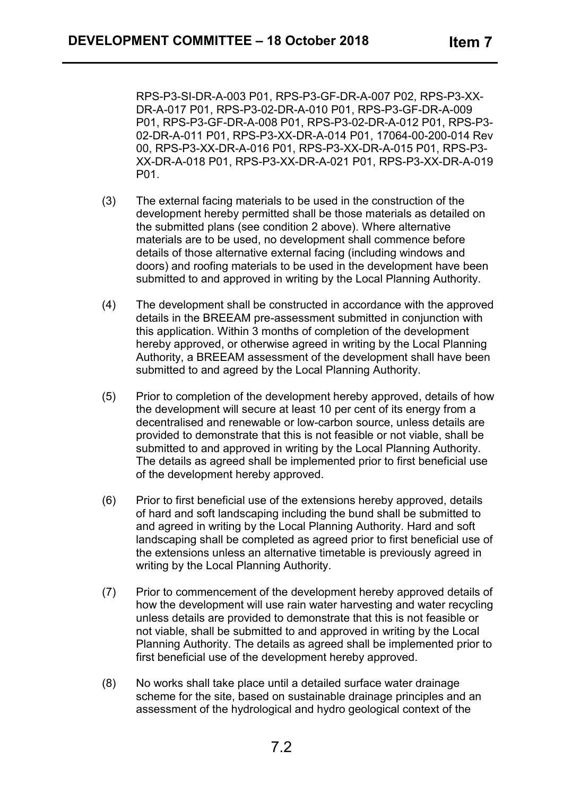RPS-P3-SI-DR-A-003 P01, RPS-P3-GF-DR-A-007 P02, RPS-P3-XX-DR-A-017 P01, RPS-P3-02-DR-A-010 P01, RPS-P3-GF-DR-A-009 P01, RPS-P3-GF-DR-A-008 P01, RPS-P3-02-DR-A-012 P01, RPS-P3- 02-DR-A-011 P01, RPS-P3-XX-DR-A-014 P01, 17064-00-200-014 Rev 00, RPS-P3-XX-DR-A-016 P01, RPS-P3-XX-DR-A-015 P01, RPS-P3- XX-DR-A-018 P01, RPS-P3-XX-DR-A-021 P01, RPS-P3-XX-DR-A-019 P01.

- (3) The external facing materials to be used in the construction of the development hereby permitted shall be those materials as detailed on the submitted plans (see condition 2 above). Where alternative materials are to be used, no development shall commence before details of those alternative external facing (including windows and doors) and roofing materials to be used in the development have been submitted to and approved in writing by the Local Planning Authority.
- (4) The development shall be constructed in accordance with the approved details in the BREEAM pre-assessment submitted in conjunction with this application. Within 3 months of completion of the development hereby approved, or otherwise agreed in writing by the Local Planning Authority, a BREEAM assessment of the development shall have been submitted to and agreed by the Local Planning Authority.
- (5) Prior to completion of the development hereby approved, details of how the development will secure at least 10 per cent of its energy from a decentralised and renewable or low-carbon source, unless details are provided to demonstrate that this is not feasible or not viable, shall be submitted to and approved in writing by the Local Planning Authority. The details as agreed shall be implemented prior to first beneficial use of the development hereby approved.
- (6) Prior to first beneficial use of the extensions hereby approved, details of hard and soft landscaping including the bund shall be submitted to and agreed in writing by the Local Planning Authority. Hard and soft landscaping shall be completed as agreed prior to first beneficial use of the extensions unless an alternative timetable is previously agreed in writing by the Local Planning Authority.
- (7) Prior to commencement of the development hereby approved details of how the development will use rain water harvesting and water recycling unless details are provided to demonstrate that this is not feasible or not viable, shall be submitted to and approved in writing by the Local Planning Authority. The details as agreed shall be implemented prior to first beneficial use of the development hereby approved.
- (8) No works shall take place until a detailed surface water drainage scheme for the site, based on sustainable drainage principles and an assessment of the hydrological and hydro geological context of the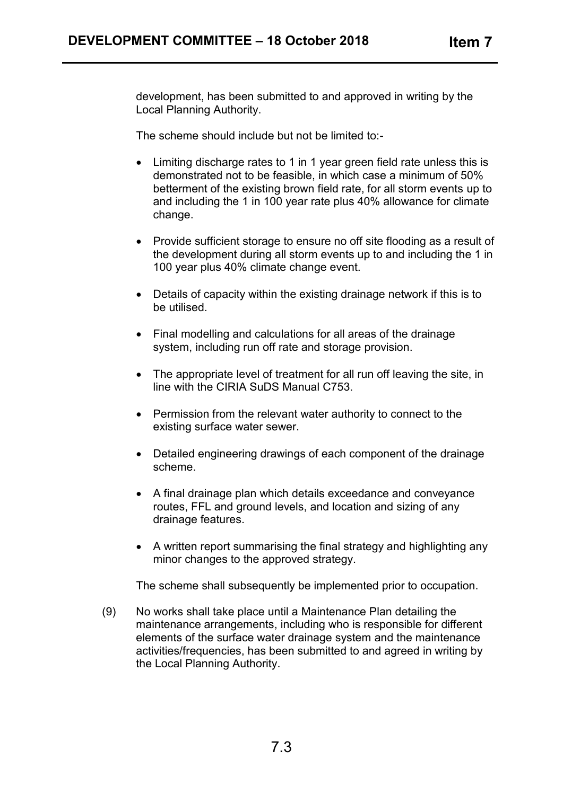development, has been submitted to and approved in writing by the Local Planning Authority.

The scheme should include but not be limited to:-

- Limiting discharge rates to 1 in 1 year green field rate unless this is demonstrated not to be feasible, in which case a minimum of 50% betterment of the existing brown field rate, for all storm events up to and including the 1 in 100 year rate plus 40% allowance for climate change.
- Provide sufficient storage to ensure no off site flooding as a result of the development during all storm events up to and including the 1 in 100 year plus 40% climate change event.
- Details of capacity within the existing drainage network if this is to be utilised.
- Final modelling and calculations for all areas of the drainage system, including run off rate and storage provision.
- The appropriate level of treatment for all run off leaving the site, in line with the CIRIA SuDS Manual C753.
- Permission from the relevant water authority to connect to the existing surface water sewer.
- Detailed engineering drawings of each component of the drainage scheme.
- A final drainage plan which details exceedance and conveyance routes, FFL and ground levels, and location and sizing of any drainage features.
- A written report summarising the final strategy and highlighting any minor changes to the approved strategy.

The scheme shall subsequently be implemented prior to occupation.

(9) No works shall take place until a Maintenance Plan detailing the maintenance arrangements, including who is responsible for different elements of the surface water drainage system and the maintenance activities/frequencies, has been submitted to and agreed in writing by the Local Planning Authority.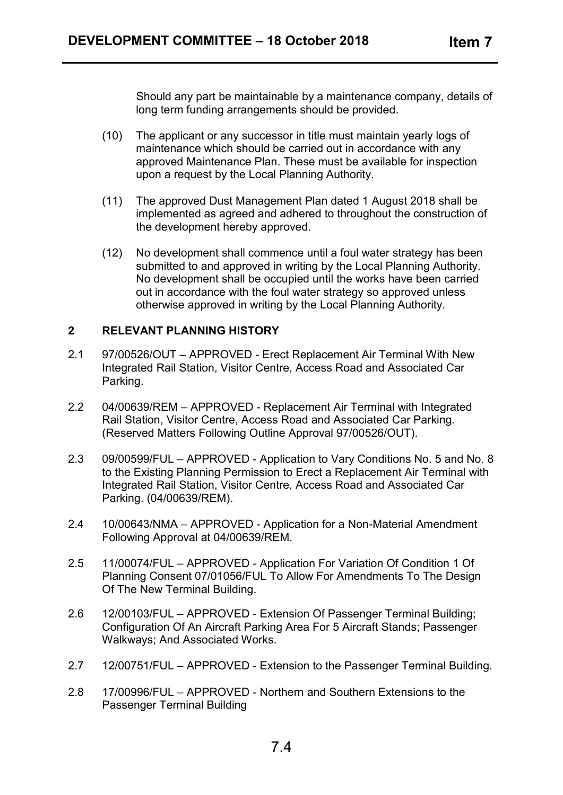Should any part be maintainable by a maintenance company, details of long term funding arrangements should be provided.

- (10) The applicant or any successor in title must maintain yearly logs of maintenance which should be carried out in accordance with any approved Maintenance Plan. These must be available for inspection upon a request by the Local Planning Authority.
- (11) The approved Dust Management Plan dated 1 August 2018 shall be implemented as agreed and adhered to throughout the construction of the development hereby approved.
- (12) No development shall commence until a foul water strategy has been submitted to and approved in writing by the Local Planning Authority. No development shall be occupied until the works have been carried out in accordance with the foul water strategy so approved unless otherwise approved in writing by the Local Planning Authority.

# **2 RELEVANT PLANNING HISTORY**

- 2.1 97/00526/OUT APPROVED Erect Replacement Air Terminal With New Integrated Rail Station, Visitor Centre, Access Road and Associated Car Parking.
- 2.2 04/00639/REM APPROVED Replacement Air Terminal with Integrated Rail Station, Visitor Centre, Access Road and Associated Car Parking. (Reserved Matters Following Outline Approval 97/00526/OUT).
- 2.3 09/00599/FUL APPROVED Application to Vary Conditions No. 5 and No. 8 to the Existing Planning Permission to Erect a Replacement Air Terminal with Integrated Rail Station, Visitor Centre, Access Road and Associated Car Parking. (04/00639/REM).
- 2.4 10/00643/NMA APPROVED Application for a Non-Material Amendment Following Approval at 04/00639/REM.
- 2.5 11/00074/FUL APPROVED Application For Variation Of Condition 1 Of Planning Consent 07/01056/FUL To Allow For Amendments To The Design Of The New Terminal Building.
- 2.6 12/00103/FUL APPROVED Extension Of Passenger Terminal Building; Configuration Of An Aircraft Parking Area For 5 Aircraft Stands; Passenger Walkways; And Associated Works.
- 2.7 12/00751/FUL APPROVED Extension to the Passenger Terminal Building.
- 2.8 17/00996/FUL APPROVED Northern and Southern Extensions to the Passenger Terminal Building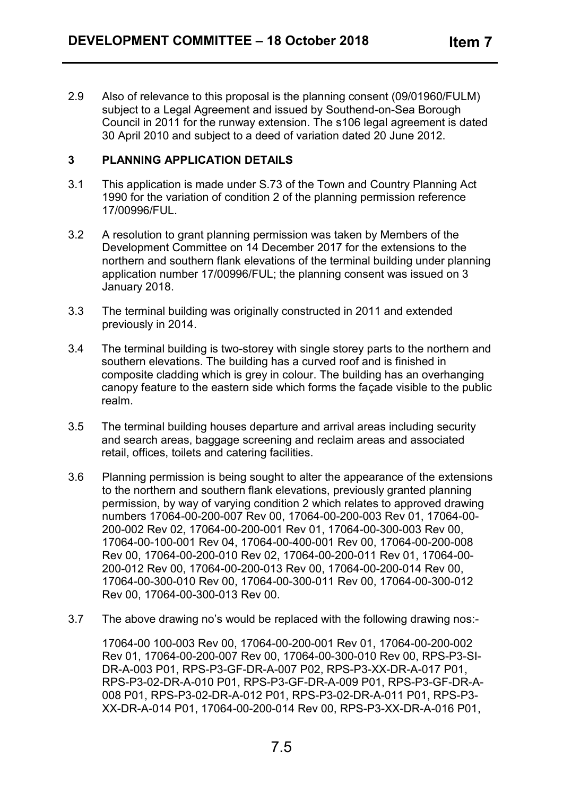2.9 Also of relevance to this proposal is the planning consent (09/01960/FULM) subject to a Legal Agreement and issued by Southend-on-Sea Borough Council in 2011 for the runway extension. The s106 legal agreement is dated 30 April 2010 and subject to a deed of variation dated 20 June 2012.

# **3 PLANNING APPLICATION DETAILS**

- 3.1 This application is made under S.73 of the Town and Country Planning Act 1990 for the variation of condition 2 of the planning permission reference 17/00996/FUL.
- 3.2 A resolution to grant planning permission was taken by Members of the Development Committee on 14 December 2017 for the extensions to the northern and southern flank elevations of the terminal building under planning application number 17/00996/FUL; the planning consent was issued on 3 January 2018.
- 3.3 The terminal building was originally constructed in 2011 and extended previously in 2014.
- 3.4 The terminal building is two-storey with single storey parts to the northern and southern elevations. The building has a curved roof and is finished in composite cladding which is grey in colour. The building has an overhanging canopy feature to the eastern side which forms the façade visible to the public realm.
- 3.5 The terminal building houses departure and arrival areas including security and search areas, baggage screening and reclaim areas and associated retail, offices, toilets and catering facilities.
- 3.6 Planning permission is being sought to alter the appearance of the extensions to the northern and southern flank elevations, previously granted planning permission, by way of varying condition 2 which relates to approved drawing numbers 17064-00-200-007 Rev 00, 17064-00-200-003 Rev 01, 17064-00- 200-002 Rev 02, 17064-00-200-001 Rev 01, 17064-00-300-003 Rev 00, 17064-00-100-001 Rev 04, 17064-00-400-001 Rev 00, 17064-00-200-008 Rev 00, 17064-00-200-010 Rev 02, 17064-00-200-011 Rev 01, 17064-00- 200-012 Rev 00, 17064-00-200-013 Rev 00, 17064-00-200-014 Rev 00, 17064-00-300-010 Rev 00, 17064-00-300-011 Rev 00, 17064-00-300-012 Rev 00, 17064-00-300-013 Rev 00.
- 3.7 The above drawing no's would be replaced with the following drawing nos:-

17064-00 100-003 Rev 00, 17064-00-200-001 Rev 01, 17064-00-200-002 Rev 01, 17064-00-200-007 Rev 00, 17064-00-300-010 Rev 00, RPS-P3-SI-DR-A-003 P01, RPS-P3-GF-DR-A-007 P02, RPS-P3-XX-DR-A-017 P01, RPS-P3-02-DR-A-010 P01, RPS-P3-GF-DR-A-009 P01, RPS-P3-GF-DR-A-008 P01, RPS-P3-02-DR-A-012 P01, RPS-P3-02-DR-A-011 P01, RPS-P3- XX-DR-A-014 P01, 17064-00-200-014 Rev 00, RPS-P3-XX-DR-A-016 P01,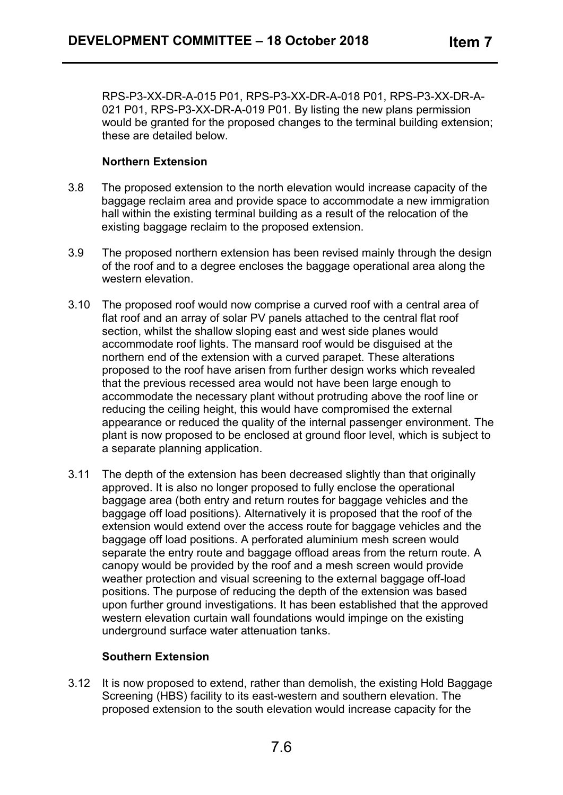RPS-P3-XX-DR-A-015 P01, RPS-P3-XX-DR-A-018 P01, RPS-P3-XX-DR-A-021 P01, RPS-P3-XX-DR-A-019 P01. By listing the new plans permission would be granted for the proposed changes to the terminal building extension; these are detailed below.

# **Northern Extension**

- 3.8 The proposed extension to the north elevation would increase capacity of the baggage reclaim area and provide space to accommodate a new immigration hall within the existing terminal building as a result of the relocation of the existing baggage reclaim to the proposed extension.
- 3.9 The proposed northern extension has been revised mainly through the design of the roof and to a degree encloses the baggage operational area along the western elevation.
- 3.10 The proposed roof would now comprise a curved roof with a central area of flat roof and an array of solar PV panels attached to the central flat roof section, whilst the shallow sloping east and west side planes would accommodate roof lights. The mansard roof would be disguised at the northern end of the extension with a curved parapet. These alterations proposed to the roof have arisen from further design works which revealed that the previous recessed area would not have been large enough to accommodate the necessary plant without protruding above the roof line or reducing the ceiling height, this would have compromised the external appearance or reduced the quality of the internal passenger environment. The plant is now proposed to be enclosed at ground floor level, which is subject to a separate planning application.
- 3.11 The depth of the extension has been decreased slightly than that originally approved. It is also no longer proposed to fully enclose the operational baggage area (both entry and return routes for baggage vehicles and the baggage off load positions). Alternatively it is proposed that the roof of the extension would extend over the access route for baggage vehicles and the baggage off load positions. A perforated aluminium mesh screen would separate the entry route and baggage offload areas from the return route. A canopy would be provided by the roof and a mesh screen would provide weather protection and visual screening to the external baggage off-load positions. The purpose of reducing the depth of the extension was based upon further ground investigations. It has been established that the approved western elevation curtain wall foundations would impinge on the existing underground surface water attenuation tanks.

# **Southern Extension**

3.12 It is now proposed to extend, rather than demolish, the existing Hold Baggage Screening (HBS) facility to its east-western and southern elevation. The proposed extension to the south elevation would increase capacity for the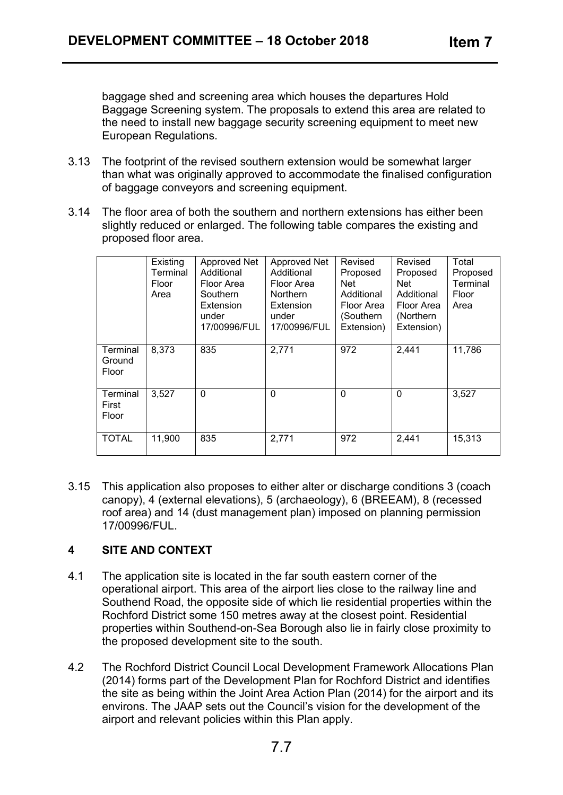baggage shed and screening area which houses the departures Hold Baggage Screening system. The proposals to extend this area are related to the need to install new baggage security screening equipment to meet new European Regulations.

- 3.13 The footprint of the revised southern extension would be somewhat larger than what was originally approved to accommodate the finalised configuration of baggage conveyors and screening equipment.
- 3.14 The floor area of both the southern and northern extensions has either been slightly reduced or enlarged. The following table compares the existing and proposed floor area.

|                             | Existing<br>Terminal<br>Floor<br>Area | Approved Net<br>Additional<br>Floor Area<br>Southern<br>Extension<br>under<br>17/00996/FUL | <b>Approved Net</b><br>Additional<br>Floor Area<br><b>Northern</b><br>Extension<br>under<br>17/00996/FUL | Revised<br>Proposed<br><b>Net</b><br>Additional<br>Floor Area<br>(Southern<br>Extension) | Revised<br>Proposed<br>Net<br>Additional<br>Floor Area<br>(Northern<br>Extension) | Total<br>Proposed<br>Terminal<br>Floor<br>Area |
|-----------------------------|---------------------------------------|--------------------------------------------------------------------------------------------|----------------------------------------------------------------------------------------------------------|------------------------------------------------------------------------------------------|-----------------------------------------------------------------------------------|------------------------------------------------|
| Terminal<br>Ground<br>Floor | 8,373                                 | 835                                                                                        | 2,771                                                                                                    | 972                                                                                      | 2,441                                                                             | 11,786                                         |
| Terminal<br>First<br>Floor  | 3,527                                 | $\Omega$                                                                                   | $\Omega$                                                                                                 | $\Omega$                                                                                 | $\mathbf{0}$                                                                      | 3,527                                          |
| <b>TOTAL</b>                | 11,900                                | 835                                                                                        | 2,771                                                                                                    | 972                                                                                      | 2,441                                                                             | 15,313                                         |

3.15 This application also proposes to either alter or discharge conditions 3 (coach canopy), 4 (external elevations), 5 (archaeology), 6 (BREEAM), 8 (recessed roof area) and 14 (dust management plan) imposed on planning permission 17/00996/FUL.

# **4 SITE AND CONTEXT**

- 4.1 The application site is located in the far south eastern corner of the operational airport. This area of the airport lies close to the railway line and Southend Road, the opposite side of which lie residential properties within the Rochford District some 150 metres away at the closest point. Residential properties within Southend-on-Sea Borough also lie in fairly close proximity to the proposed development site to the south.
- 4.2 The Rochford District Council Local Development Framework Allocations Plan (2014) forms part of the Development Plan for Rochford District and identifies the site as being within the Joint Area Action Plan (2014) for the airport and its environs. The JAAP sets out the Council's vision for the development of the airport and relevant policies within this Plan apply.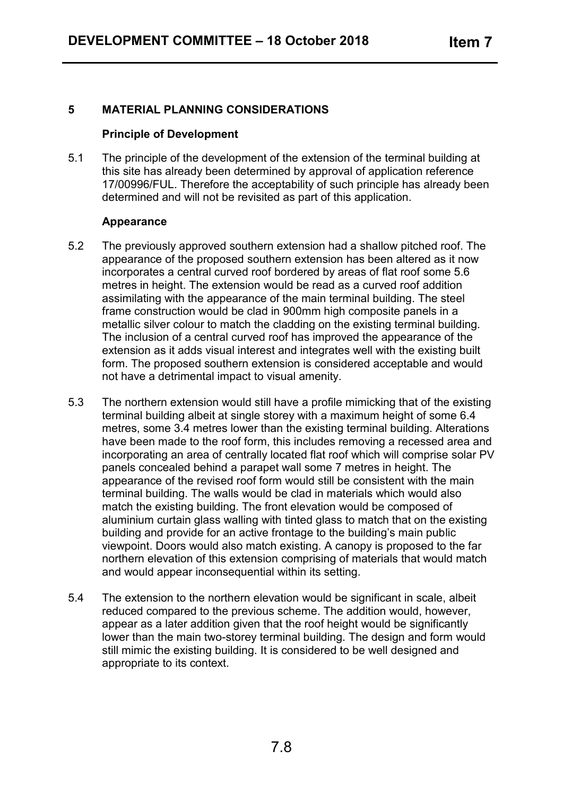# **5 MATERIAL PLANNING CONSIDERATIONS**

#### **Principle of Development**

5.1 The principle of the development of the extension of the terminal building at this site has already been determined by approval of application reference 17/00996/FUL. Therefore the acceptability of such principle has already been determined and will not be revisited as part of this application.

### **Appearance**

- 5.2 The previously approved southern extension had a shallow pitched roof. The appearance of the proposed southern extension has been altered as it now incorporates a central curved roof bordered by areas of flat roof some 5.6 metres in height. The extension would be read as a curved roof addition assimilating with the appearance of the main terminal building. The steel frame construction would be clad in 900mm high composite panels in a metallic silver colour to match the cladding on the existing terminal building. The inclusion of a central curved roof has improved the appearance of the extension as it adds visual interest and integrates well with the existing built form. The proposed southern extension is considered acceptable and would not have a detrimental impact to visual amenity.
- 5.3 The northern extension would still have a profile mimicking that of the existing terminal building albeit at single storey with a maximum height of some 6.4 metres, some 3.4 metres lower than the existing terminal building. Alterations have been made to the roof form, this includes removing a recessed area and incorporating an area of centrally located flat roof which will comprise solar PV panels concealed behind a parapet wall some 7 metres in height. The appearance of the revised roof form would still be consistent with the main terminal building. The walls would be clad in materials which would also match the existing building. The front elevation would be composed of aluminium curtain glass walling with tinted glass to match that on the existing building and provide for an active frontage to the building's main public viewpoint. Doors would also match existing. A canopy is proposed to the far northern elevation of this extension comprising of materials that would match and would appear inconsequential within its setting.
- 5.4 The extension to the northern elevation would be significant in scale, albeit reduced compared to the previous scheme. The addition would, however, appear as a later addition given that the roof height would be significantly lower than the main two-storey terminal building. The design and form would still mimic the existing building. It is considered to be well designed and appropriate to its context.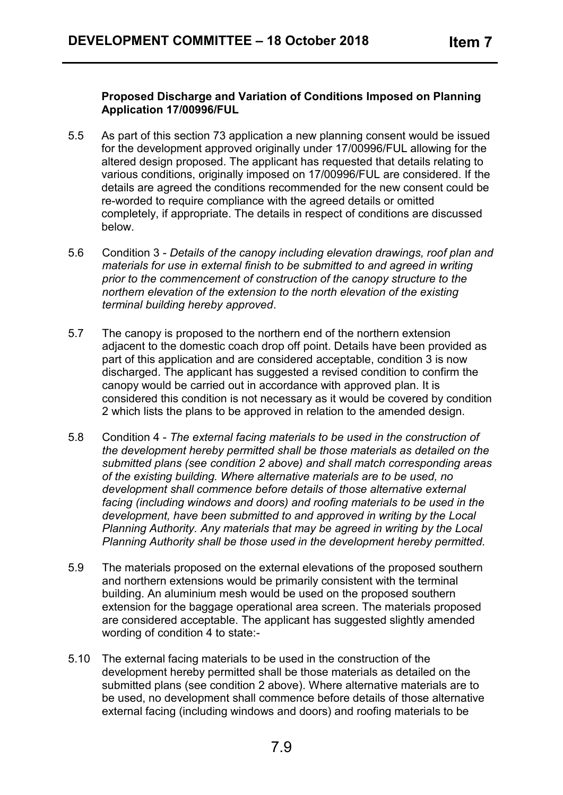### **Proposed Discharge and Variation of Conditions Imposed on Planning Application 17/00996/FUL**

- 5.5 As part of this section 73 application a new planning consent would be issued for the development approved originally under 17/00996/FUL allowing for the altered design proposed. The applicant has requested that details relating to various conditions, originally imposed on 17/00996/FUL are considered. If the details are agreed the conditions recommended for the new consent could be re-worded to require compliance with the agreed details or omitted completely, if appropriate. The details in respect of conditions are discussed below.
- 5.6 Condition 3 *Details of the canopy including elevation drawings, roof plan and materials for use in external finish to be submitted to and agreed in writing prior to the commencement of construction of the canopy structure to the northern elevation of the extension to the north elevation of the existing terminal building hereby approved*.
- 5.7 The canopy is proposed to the northern end of the northern extension adjacent to the domestic coach drop off point. Details have been provided as part of this application and are considered acceptable, condition 3 is now discharged. The applicant has suggested a revised condition to confirm the canopy would be carried out in accordance with approved plan. It is considered this condition is not necessary as it would be covered by condition 2 which lists the plans to be approved in relation to the amended design.
- 5.8 Condition 4 *The external facing materials to be used in the construction of the development hereby permitted shall be those materials as detailed on the submitted plans (see condition 2 above) and shall match corresponding areas of the existing building. Where alternative materials are to be used, no development shall commence before details of those alternative external facing (including windows and doors) and roofing materials to be used in the development, have been submitted to and approved in writing by the Local Planning Authority. Any materials that may be agreed in writing by the Local Planning Authority shall be those used in the development hereby permitted.*
- 5.9 The materials proposed on the external elevations of the proposed southern and northern extensions would be primarily consistent with the terminal building. An aluminium mesh would be used on the proposed southern extension for the baggage operational area screen. The materials proposed are considered acceptable. The applicant has suggested slightly amended wording of condition 4 to state:-
- 5.10 The external facing materials to be used in the construction of the development hereby permitted shall be those materials as detailed on the submitted plans (see condition 2 above). Where alternative materials are to be used, no development shall commence before details of those alternative external facing (including windows and doors) and roofing materials to be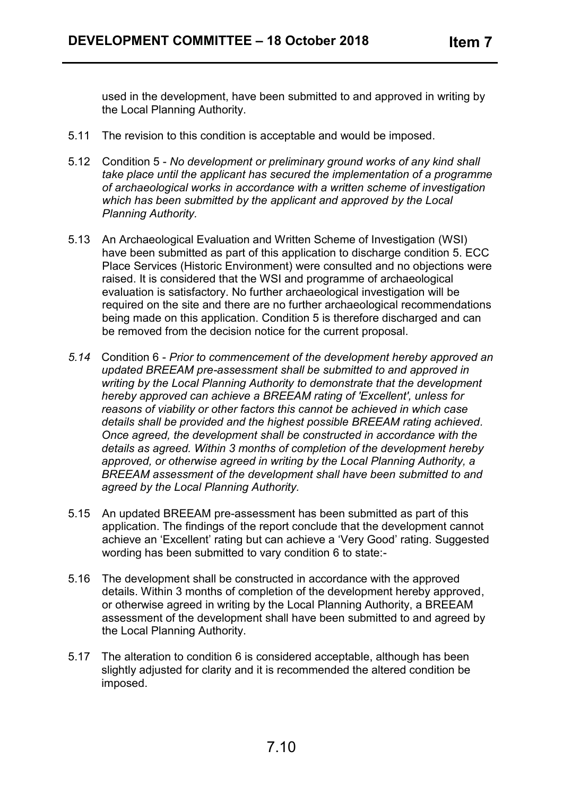used in the development, have been submitted to and approved in writing by the Local Planning Authority.

- 5.11 The revision to this condition is acceptable and would be imposed.
- 5.12 Condition 5 *No development or preliminary ground works of any kind shall take place until the applicant has secured the implementation of a programme of archaeological works in accordance with a written scheme of investigation which has been submitted by the applicant and approved by the Local Planning Authority.*
- 5.13 An Archaeological Evaluation and Written Scheme of Investigation (WSI) have been submitted as part of this application to discharge condition 5. ECC Place Services (Historic Environment) were consulted and no objections were raised. It is considered that the WSI and programme of archaeological evaluation is satisfactory. No further archaeological investigation will be required on the site and there are no further archaeological recommendations being made on this application. Condition 5 is therefore discharged and can be removed from the decision notice for the current proposal.
- *5.14* Condition 6 *Prior to commencement of the development hereby approved an updated BREEAM pre-assessment shall be submitted to and approved in writing by the Local Planning Authority to demonstrate that the development hereby approved can achieve a BREEAM rating of 'Excellent', unless for reasons of viability or other factors this cannot be achieved in which case details shall be provided and the highest possible BREEAM rating achieved. Once agreed, the development shall be constructed in accordance with the details as agreed. Within 3 months of completion of the development hereby approved, or otherwise agreed in writing by the Local Planning Authority, a BREEAM assessment of the development shall have been submitted to and agreed by the Local Planning Authority.*
- 5.15 An updated BREEAM pre-assessment has been submitted as part of this application. The findings of the report conclude that the development cannot achieve an 'Excellent' rating but can achieve a 'Very Good' rating. Suggested wording has been submitted to vary condition 6 to state:-
- 5.16 The development shall be constructed in accordance with the approved details. Within 3 months of completion of the development hereby approved, or otherwise agreed in writing by the Local Planning Authority, a BREEAM assessment of the development shall have been submitted to and agreed by the Local Planning Authority.
- 5.17 The alteration to condition 6 is considered acceptable, although has been slightly adjusted for clarity and it is recommended the altered condition be imposed.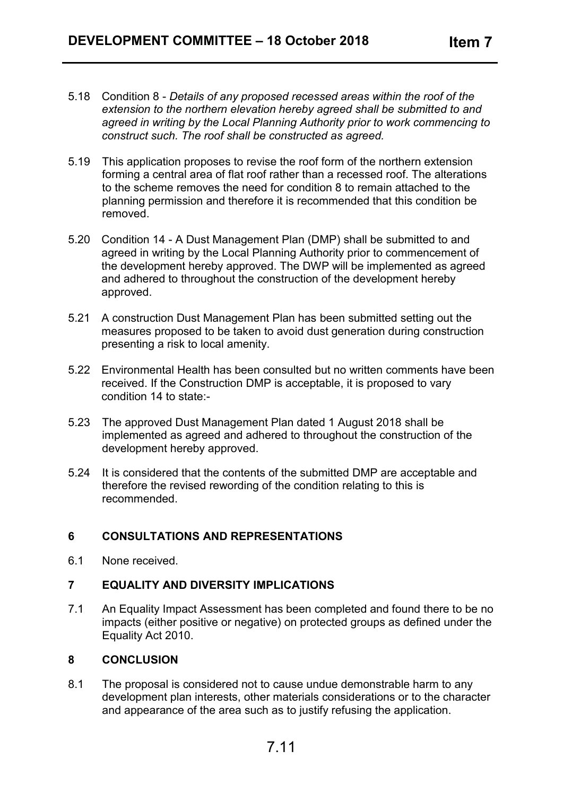- 5.18 Condition 8 *Details of any proposed recessed areas within the roof of the extension to the northern elevation hereby agreed shall be submitted to and agreed in writing by the Local Planning Authority prior to work commencing to construct such. The roof shall be constructed as agreed.*
- 5.19 This application proposes to revise the roof form of the northern extension forming a central area of flat roof rather than a recessed roof. The alterations to the scheme removes the need for condition 8 to remain attached to the planning permission and therefore it is recommended that this condition be removed.
- 5.20 Condition 14 A Dust Management Plan (DMP) shall be submitted to and agreed in writing by the Local Planning Authority prior to commencement of the development hereby approved. The DWP will be implemented as agreed and adhered to throughout the construction of the development hereby approved.
- 5.21 A construction Dust Management Plan has been submitted setting out the measures proposed to be taken to avoid dust generation during construction presenting a risk to local amenity.
- 5.22 Environmental Health has been consulted but no written comments have been received. If the Construction DMP is acceptable, it is proposed to vary condition 14 to state:-
- 5.23 The approved Dust Management Plan dated 1 August 2018 shall be implemented as agreed and adhered to throughout the construction of the development hereby approved.
- 5.24 It is considered that the contents of the submitted DMP are acceptable and therefore the revised rewording of the condition relating to this is recommended.

# **6 CONSULTATIONS AND REPRESENTATIONS**

6.1 None received.

# **7 EQUALITY AND DIVERSITY IMPLICATIONS**

7.1 An Equality Impact Assessment has been completed and found there to be no impacts (either positive or negative) on protected groups as defined under the Equality Act 2010.

# **8 CONCLUSION**

8.1 The proposal is considered not to cause undue demonstrable harm to any development plan interests, other materials considerations or to the character and appearance of the area such as to justify refusing the application.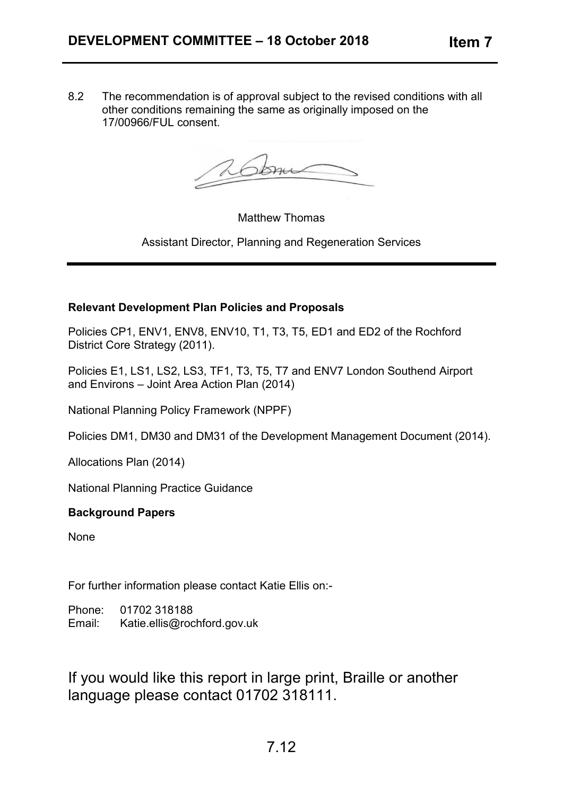8.2 The recommendation is of approval subject to the revised conditions with all other conditions remaining the same as originally imposed on the 17/00966/FUL consent.

Matthew Thomas

Assistant Director, Planning and Regeneration Services

# **Relevant Development Plan Policies and Proposals**

Policies CP1, ENV1, ENV8, ENV10, T1, T3, T5, ED1 and ED2 of the Rochford District Core Strategy (2011).

Policies E1, LS1, LS2, LS3, TF1, T3, T5, T7 and ENV7 London Southend Airport and Environs – Joint Area Action Plan (2014)

National Planning Policy Framework (NPPF)

Policies DM1, DM30 and DM31 of the Development Management Document (2014).

Allocations Plan (2014)

National Planning Practice Guidance

# **Background Papers**

None

For further information please contact Katie Ellis on:-

Phone: 01702 318188 Email: Katie.ellis@rochford.gov.uk

If you would like this report in large print, Braille or another language please contact 01702 318111.